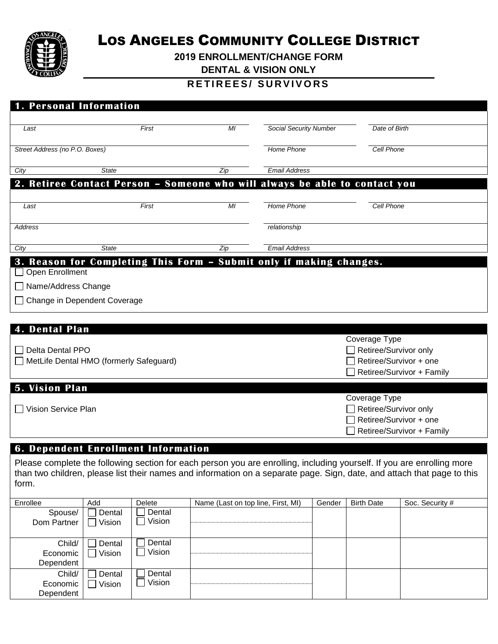

# LOS ANGELES COMMUNITY COLLEGE DISTRICT

**2019 ENROLLMENT/CHANGE FORM** 

**DENTAL & VISION ONLY**

## **R E T I R E E S / S U R V I V O R S**

| <b>1. Personal Information</b>                                               |                                                                            |                |                               |                                                                                               |
|------------------------------------------------------------------------------|----------------------------------------------------------------------------|----------------|-------------------------------|-----------------------------------------------------------------------------------------------|
| Last                                                                         | First                                                                      | M <sub>l</sub> | <b>Social Security Number</b> | Date of Birth                                                                                 |
| Street Address (no P.O. Boxes)                                               |                                                                            |                | Home Phone                    | Cell Phone                                                                                    |
| City                                                                         | <b>State</b>                                                               | Zip            | <b>Email Address</b>          |                                                                                               |
|                                                                              | 2. Retiree Contact Person - Someone who will always be able to contact you |                |                               |                                                                                               |
|                                                                              |                                                                            |                |                               |                                                                                               |
| Last                                                                         | First                                                                      | MI             | <b>Home Phone</b>             | <b>Cell Phone</b>                                                                             |
| <b>Address</b>                                                               |                                                                            |                | relationship                  |                                                                                               |
| City                                                                         | <b>State</b>                                                               | Zip            | <b>Email Address</b>          |                                                                                               |
| □ Open Enrollment<br>□ Name/Address Change<br>□ Change in Dependent Coverage | 3. Reason for Completing This Form - Submit only if making changes.        |                |                               |                                                                                               |
| <b>4. Dental Plan</b>                                                        |                                                                            |                |                               |                                                                                               |
| <b>Delta Dental PPO</b>                                                      | MetLife Dental HMO (formerly Safeguard)                                    |                |                               | Coverage Type<br>Retiree/Survivor only<br>Retiree/Survivor + one<br>Retiree/Survivor + Family |
| <b>5. Vision Plan</b>                                                        |                                                                            |                |                               |                                                                                               |
| Vision Service Plan                                                          |                                                                            |                |                               | Coverage Type<br>Retiree/Survivor only<br>Retiree/Survivor + one<br>Retiree/Survivor + Family |
|                                                                              |                                                                            |                |                               |                                                                                               |

### **6. Dependent Enrollment Information**

Please complete the following section for each person you are enrolling, including yourself. If you are enrolling more than two children, please list their names and information on a separate page. Sign, date, and attach that page to this form.

| Enrollee                        | Add              | Delete           | Name (Last on top line, First, MI) | Gender | <b>Birth Date</b> | Soc. Security # |
|---------------------------------|------------------|------------------|------------------------------------|--------|-------------------|-----------------|
| Spouse/<br>Dom Partner          | Dental<br>Vision | Dental<br>Vision |                                    |        |                   |                 |
| Child/<br>Economic<br>Dependent | Dental<br>Vision | Dental<br>Vision |                                    |        |                   |                 |
| Child/<br>Economic<br>Dependent | Dental<br>Vision | Dental<br>Vision |                                    |        |                   |                 |